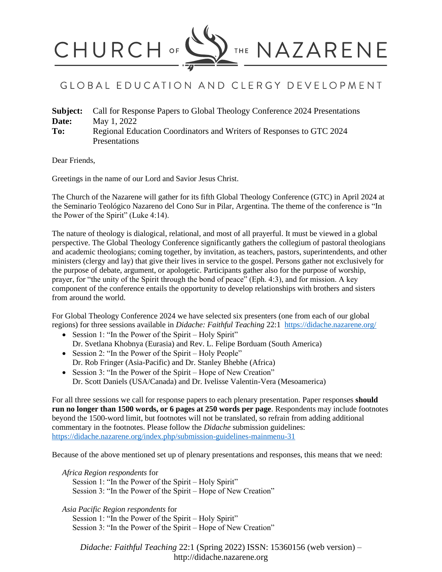

## GLOBAL EDUCATION AND CLERGY DEVELOPMENT

| Subject: | Call for Response Papers to Global Theology Conference 2024 Presentations |
|----------|---------------------------------------------------------------------------|
| Date:    | May 1, 2022                                                               |
| To:      | Regional Education Coordinators and Writers of Responses to GTC 2024      |
|          | Presentations                                                             |

Dear Friends,

Greetings in the name of our Lord and Savior Jesus Christ.

The Church of the Nazarene will gather for its fifth Global Theology Conference (GTC) in April 2024 at the Seminario Teológico Nazareno del Cono Sur in Pilar, Argentina. The theme of the conference is "In the Power of the Spirit" (Luke 4:14).

The nature of theology is dialogical, relational, and most of all prayerful. It must be viewed in a global perspective. The Global Theology Conference significantly gathers the collegium of pastoral theologians and academic theologians; coming together, by invitation, as teachers, pastors, superintendents, and other ministers (clergy and lay) that give their lives in service to the gospel. Persons gather not exclusively for the purpose of debate, argument, or apologetic. Participants gather also for the purpose of worship, prayer, for "the unity of the Spirit through the bond of peace" (Eph. 4:3), and for mission. A key component of the conference entails the opportunity to develop relationships with brothers and sisters from around the world.

For Global Theology Conference 2024 we have selected six presenters (one from each of our global regions) for three sessions available in *Didache: Faithful Teaching* 22:1 <https://didache.nazarene.org/>

- Session 1: "In the Power of the Spirit Holy Spirit" Dr. Svetlana Khobnya (Eurasia) and Rev. L. Felipe Borduam (South America)
- Session 2: "In the Power of the Spirit Holy People" Dr. Rob Fringer (Asia-Pacific) and Dr. Stanley Bhebhe (Africa)
- Session 3: "In the Power of the Spirit Hope of New Creation" Dr. Scott Daniels (USA/Canada) and Dr. Ivelisse Valentin-Vera (Mesoamerica)

For all three sessions we call for response papers to each plenary presentation. Paper responses **should run no longer than 1500 words, or 6 pages at 250 words per page**. Respondents may include footnotes beyond the 1500-word limit, but footnotes will not be translated, so refrain from adding additional commentary in the footnotes. Please follow the *Didache* submission guidelines: <https://didache.nazarene.org/index.php/submission-guidelines-mainmenu-31>

Because of the above mentioned set up of plenary presentations and responses, this means that we need:

*Africa Region respondents* for Session 1: "In the Power of the Spirit – Holy Spirit" Session 3: "In the Power of the Spirit – Hope of New Creation"

*Asia Pacific Region respondents* for

Session 1: "In the Power of the Spirit – Holy Spirit" Session 3: "In the Power of the Spirit – Hope of New Creation"

*Didache: Faithful Teaching* 22:1 (Spring 2022) ISSN: 15360156 (web version) – http://didache.nazarene.org